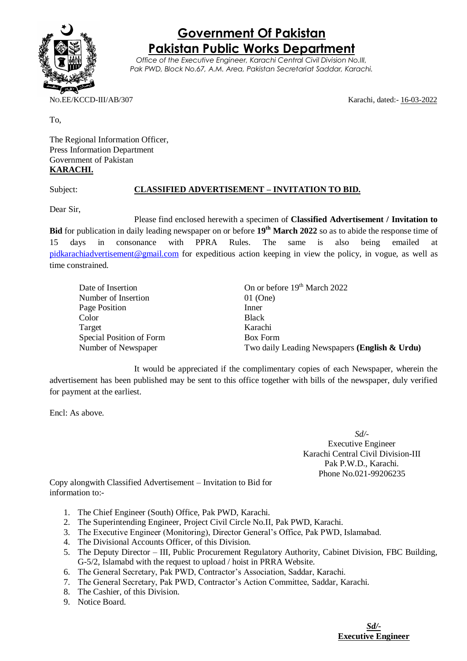

**Government Of Pakistan Pakistan Public Works Department**

*Office of the Executive Engineer, Karachi Central Civil Division No.III, Pak PWD, Block No.67, A.M. Area, Pakistan Secretariat Saddar, Karachi.*

NO.EE/KCCD-III/AB/307 Karachi, dated:- 16-03-2022

To,

The Regional Information Officer, Press Information Department Government of Pakistan **KARACHI.**

## Subject: **CLASSIFIED ADVERTISEMENT – INVITATION TO BID.**

Dear Sir,

Please find enclosed herewith a specimen of **Classified Advertisement / Invitation to Bid** for publication in daily leading newspaper on or before **19th March 2022** so as to abide the response time of 15 days in consonance with PPRA Rules. The same is also being emailed at [pidkarachiadvertisement@gmail.com](mailto:pidkarachiadvertisement@gmail.com) for expeditious action keeping in view the policy, in vogue, as well as time constrained.

| Date of Insertion        | On or before 19 <sup>th</sup> March 2022      |
|--------------------------|-----------------------------------------------|
| Number of Insertion      | $01$ (One)                                    |
| Page Position            | Inner                                         |
| Color                    | <b>Black</b>                                  |
| Target                   | Karachi                                       |
| Special Position of Form | <b>Box Form</b>                               |
| Number of Newspaper      | Two daily Leading Newspapers (English & Urdu) |

It would be appreciated if the complimentary copies of each Newspaper, wherein the advertisement has been published may be sent to this office together with bills of the newspaper, duly verified for payment at the earliest.

Encl: As above.

*Sd/-* Executive Engineer Karachi Central Civil Division-III Pak P.W.D., Karachi. Phone No.021-99206235

Copy alongwith Classified Advertisement – Invitation to Bid for information to:-

- 1. The Chief Engineer (South) Office, Pak PWD, Karachi.
- 2. The Superintending Engineer, Project Civil Circle No.II, Pak PWD, Karachi.
- 3. The Executive Engineer (Monitoring), Director General's Office, Pak PWD, Islamabad.
- 4. The Divisional Accounts Officer, of this Division.
- 5. The Deputy Director III, Public Procurement Regulatory Authority, Cabinet Division, FBC Building, G-5/2, Islamabd with the request to upload / hoist in PRRA Website.
- 6. The General Secretary, Pak PWD, Contractor's Association, Saddar, Karachi.
- 7. The General Secretary, Pak PWD, Contractor's Action Committee, Saddar, Karachi.
- 8. The Cashier, of this Division.
- 9. Notice Board.

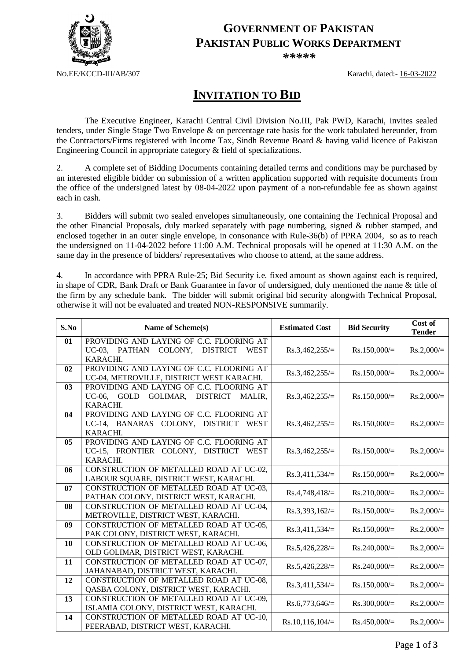

## **GOVERNMENT OF PAKISTAN PAKISTAN PUBLIC WORKS DEPARTMENT**

*\*\*\*\*\**

NO.EE/KCCD-III/AB/307 Karachi, dated:- 16-03-2022

## **INVITATION TO BID**

The Executive Engineer, Karachi Central Civil Division No.III, Pak PWD, Karachi, invites sealed tenders, under Single Stage Two Envelope & on percentage rate basis for the work tabulated hereunder, from the Contractors/Firms registered with Income Tax, Sindh Revenue Board & having valid licence of Pakistan Engineering Council in appropriate category & field of specializations.

2. A complete set of Bidding Documents containing detailed terms and conditions may be purchased by an interested eligible bidder on submission of a written application supported with requisite documents from the office of the undersigned latest by 08-04-2022 upon payment of a non-refundable fee as shown against each in cash.

3. Bidders will submit two sealed envelopes simultaneously, one containing the Technical Proposal and the other Financial Proposals, duly marked separately with page numbering, signed & rubber stamped, and enclosed together in an outer single envelope, in consonance with Rule-36(b) of PPRA 2004, so as to reach the undersigned on 11-04-2022 before 11:00 A.M. Technical proposals will be opened at 11:30 A.M. on the same day in the presence of bidders/ representatives who choose to attend, at the same address.

4. In accordance with PPRA Rule-25; Bid Security i.e. fixed amount as shown against each is required, in shape of CDR, Bank Draft or Bank Guarantee in favor of undersigned, duly mentioned the name & title of the firm by any schedule bank. The bidder will submit original bid security alongwith Technical Proposal, otherwise it will not be evaluated and treated NON-RESPONSIVE summarily.

| S.No           | Name of Scheme(s)                                                                                                  | <b>Estimated Cost</b> | <b>Bid Security</b> | Cost of<br><b>Tender</b> |
|----------------|--------------------------------------------------------------------------------------------------------------------|-----------------------|---------------------|--------------------------|
| 01             | PROVIDING AND LAYING OF C.C. FLOORING AT<br>UC-03, PATHAN<br>COLONY,<br><b>DISTRICT</b><br><b>WEST</b><br>KARACHI. | $Rs.3,462,255/=$      | $Rs.150,000/=$      | $Rs.2,000/=$             |
| 02             | PROVIDING AND LAYING OF C.C. FLOORING AT<br>UC-04, METROVILLE, DISTRICT WEST KARACHI.                              | $Rs.3,462,255/=$      | $Rs.150,000/=$      | $Rs.2,000/=$             |
| 03             | PROVIDING AND LAYING OF C.C. FLOORING AT<br><b>DISTRICT</b><br>UC-06, GOLD GOLIMAR,<br>MALIR,<br>KARACHI.          | $Rs.3,462,255/=$      | $Rs.150,000/=$      | $Rs.2,000/=$             |
| 04             | PROVIDING AND LAYING OF C.C. FLOORING AT<br>UC-14, BANARAS COLONY, DISTRICT WEST<br>KARACHI.                       | $Rs.3,462,255/=$      | $Rs.150,000/=$      | $Rs.2,000/=$             |
| 0 <sub>5</sub> | PROVIDING AND LAYING OF C.C. FLOORING AT<br>UC-15, FRONTIER COLONY, DISTRICT<br>WEST<br>KARACHI.                   | $Rs.3,462,255/=$      | $Rs.150,000/=$      | $Rs.2,000/=$             |
| 06             | CONSTRUCTION OF METALLED ROAD AT UC-02,<br>LABOUR SQUARE, DISTRICT WEST, KARACHI.                                  | $Rs.3,411,534/=$      | $Rs.150,000/=$      | $Rs.2,000/=$             |
| 07             | CONSTRUCTION OF METALLED ROAD AT UC-03,<br>PATHAN COLONY, DISTRICT WEST, KARACHI.                                  | $Rs.4,748,418/=$      | $Rs.210,000/=$      | $Rs.2,000/=$             |
| 08             | CONSTRUCTION OF METALLED ROAD AT UC-04,<br>METROVILLE, DISTRICT WEST, KARACHI.                                     | $Rs.3,393,162/=$      | $Rs.150,000/=$      | $Rs.2,000/=$             |
| 09             | CONSTRUCTION OF METALLED ROAD AT UC-05,<br>PAK COLONY, DISTRICT WEST, KARACHI.                                     | $Rs.3,411,534/=$      | $Rs.150,000/=$      | $Rs.2,000/=$             |
| 10             | CONSTRUCTION OF METALLED ROAD AT UC-06,<br>OLD GOLIMAR, DISTRICT WEST, KARACHI.                                    | $Rs.5,426,228/=$      | $Rs.240,000/=$      | $Rs.2,000/=$             |
| 11             | CONSTRUCTION OF METALLED ROAD AT UC-07,<br>JAHANABAD, DISTRICT WEST, KARACHI.                                      | $Rs.5,426,228/=$      | $Rs.240,000/=$      | $Rs.2,000/=$             |
| 12             | CONSTRUCTION OF METALLED ROAD AT UC-08,<br>QASBA COLONY, DISTRICT WEST, KARACHI.                                   | $Rs.3,411,534/=$      | $Rs.150,000/=$      | $Rs.2,000/=$             |
| 13             | CONSTRUCTION OF METALLED ROAD AT UC-09,<br>ISLAMIA COLONY, DISTRICT WEST, KARACHI.                                 | $Rs.6,773,646/=$      | $Rs.300,000/=$      | $Rs.2,000/=$             |
| 14             | CONSTRUCTION OF METALLED ROAD AT UC-10,<br>PEERABAD, DISTRICT WEST, KARACHI.                                       | $Rs.10,116,104/=$     | $Rs.450,000/=$      | $Rs.2,000/=$             |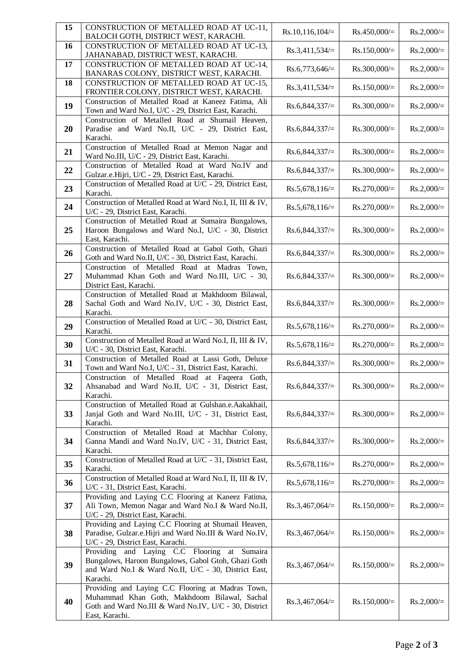| 15 | CONSTRUCTION OF METALLED ROAD AT UC-11,<br>BALOCH GOTH, DISTRICT WEST, KARACHI.                                                                                              | $Rs.10,116,104/=$ | $Rs.450,000/=$ | $Rs.2,000/=$ |
|----|------------------------------------------------------------------------------------------------------------------------------------------------------------------------------|-------------------|----------------|--------------|
| 16 | CONSTRUCTION OF METALLED ROAD AT UC-13,<br>JAHANABAD, DISTRICT WEST, KARACHI.                                                                                                | $Rs.3,411,534/=$  | $Rs.150,000/=$ | $Rs.2,000/=$ |
| 17 | CONSTRUCTION OF METALLED ROAD AT UC-14,<br>BANARAS COLONY, DISTRICT WEST, KARACHI.                                                                                           | $Rs.6,773,646/=$  | $Rs.300,000/=$ | $Rs.2,000/=$ |
| 18 | CONSTRUCTION OF METALLED ROAD AT UC-15,<br>FRONTIER COLONY, DISTRICT WEST, KARACHI.                                                                                          | $Rs.3,411,534/=$  | $Rs.150,000/=$ | $Rs.2,000/=$ |
| 19 | Construction of Metalled Road at Kaneez Fatima, Ali<br>Town and Ward No.I, U/C - 29, District East, Karachi.                                                                 | $Rs.6,844,337/=$  | $Rs.300,000/=$ | $Rs.2,000/=$ |
| 20 | Construction of Metalled Road at Shumail Heaven,<br>Paradise and Ward No.II, U/C - 29, District East,<br>Karachi.                                                            | $Rs.6,844,337/=$  | $Rs.300,000/=$ | $Rs.2,000/=$ |
| 21 | Construction of Metalled Road at Memon Nagar and<br>Ward No.III, U/C - 29, District East, Karachi.                                                                           | $Rs.6,844,337/=$  | $Rs.300,000/=$ | $Rs.2,000/=$ |
| 22 | Construction of Metalled Road at Ward No.IV and<br>Gulzar.e.Hijri, U/C - 29, District East, Karachi.                                                                         | $Rs.6,844,337/=$  | $Rs.300,000/=$ | $Rs.2,000/=$ |
| 23 | Construction of Metalled Road at U/C - 29, District East,<br>Karachi.                                                                                                        | $Rs.5,678,116/=$  | $Rs.270,000/=$ | $Rs.2,000/=$ |
| 24 | Construction of Metalled Road at Ward No.I, II, III & IV,<br>U/C - 29, District East, Karachi.                                                                               | $Rs.5,678,116/=$  | $Rs.270,000/=$ | $Rs.2,000/=$ |
| 25 | Construction of Metalled Road at Sumaira Bungalows,<br>Haroon Bungalows and Ward No.I, U/C - 30, District<br>East, Karachi.                                                  | $Rs.6,844,337/=$  | $Rs.300,000/=$ | $Rs.2,000/=$ |
| 26 | Construction of Metalled Road at Gabol Goth, Ghazi<br>Goth and Ward No.II, U/C - 30, District East, Karachi.                                                                 | $Rs.6,844,337/=$  | $Rs.300,000/=$ | $Rs.2,000/=$ |
| 27 | Construction of Metalled Road at Madras Town,<br>Muhammad Khan Goth and Ward No.III, U/C - 30,<br>District East, Karachi.                                                    | $Rs.6,844,337/=$  | $Rs.300,000/=$ | $Rs.2,000/=$ |
| 28 | Construction of Metalled Road at Makhdoom Bilawal,<br>Sachal Goth and Ward No.IV, U/C - 30, District East,<br>Karachi.                                                       | $Rs.6,844,337/=$  | $Rs.300,000/=$ | $Rs.2,000/=$ |
| 29 | Construction of Metalled Road at U/C - 30, District East,<br>Karachi.                                                                                                        | $Rs.5,678,116/=$  | $Rs.270,000/=$ | $Rs.2,000/=$ |
| 30 | Construction of Metalled Road at Ward No.I, II, III & IV,<br>U/C - 30, District East, Karachi.                                                                               | $Rs.5,678,116/=$  | $Rs.270,000/=$ | $Rs.2,000/=$ |
| 31 | Construction of Metalled Road at Lassi Goth, Deluxe<br>Town and Ward No.I, U/C - 31, District East, Karachi.                                                                 | $Rs.6,844,337/=$  | $Rs.300,000/=$ | $Rs.2,000/=$ |
| 32 | Construction of Metalled Road at Faqeera Goth,<br>Ahsanabad and Ward No.II, U/C - 31, District East,<br>Karachi.                                                             | $Rs.6,844,337/=$  | $Rs.300,000/=$ | $Rs.2,000/=$ |
| 33 | Construction of Metalled Road at Gulshan.e.Aakakhail,<br>Janjal Goth and Ward No.III, U/C - 31, District East,<br>Karachi.                                                   | $Rs.6,844,337/=$  | $Rs.300,000/=$ | $Rs.2,000/=$ |
| 34 | Construction of Metalled Road at Machhar Colony,<br>Ganna Mandi and Ward No.IV, U/C - 31, District East,<br>Karachi.                                                         | $Rs.6,844,337/=$  | $Rs.300,000/=$ | $Rs.2,000/=$ |
| 35 | Construction of Metalled Road at U/C - 31, District East,<br>Karachi.                                                                                                        | $Rs.5,678,116/=$  | $Rs.270,000/=$ | $Rs.2,000/=$ |
| 36 | Construction of Metalled Road at Ward No.I, II, III & IV,<br>U/C - 31, District East, Karachi.                                                                               | $Rs.5,678,116/=$  | $Rs.270,000/=$ | $Rs.2,000/=$ |
| 37 | Providing and Laying C.C Flooring at Kaneez Fatima,<br>Ali Town, Memon Nagar and Ward No.I & Ward No.II,<br>U/C - 29, District East, Karachi.                                | $Rs.3,467,064/=$  | $Rs.150,000/=$ | $Rs.2,000/=$ |
| 38 | Providing and Laying C.C Flooring at Shumail Heaven,<br>Paradise, Gulzar.e.Hijri and Ward No.III & Ward No.IV,<br>U/C - 29, District East, Karachi.                          | $Rs.3,467,064/=$  | $Rs.150,000/=$ | $Rs.2,000/=$ |
| 39 | Providing and Laying C.C Flooring<br>at Sumaira<br>Bungalows, Haroon Bungalows, Gabol Gtoh, Ghazi Goth<br>and Ward No.I & Ward No.II, U/C - 30, District East,<br>Karachi.   | $Rs.3,467,064/=$  | $Rs.150,000/=$ | $Rs.2,000/=$ |
| 40 | Providing and Laying C.C Flooring at Madras Town,<br>Muhammad Khan Goth, Makhdoom Bilawal, Sachal<br>Goth and Ward No.III & Ward No.IV, U/C - 30, District<br>East, Karachi. | $Rs.3,467,064/=$  | $Rs.150,000/=$ | $Rs.2,000/=$ |